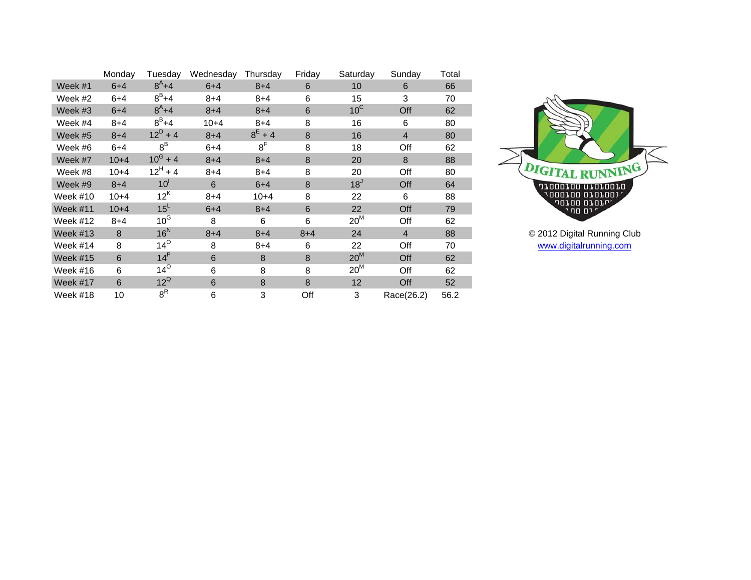|                 | Monday   | Tuesdav          | Wednesday | Thursdav       | Friday  | Saturday        | Sunday         | Total |
|-----------------|----------|------------------|-----------|----------------|---------|-----------------|----------------|-------|
| Week #1         | $6 + 4$  | $8^{A} + 4$      | $6 + 4$   | $8 + 4$        | 6       | 10              | 6              | 66    |
| Week #2         | $6 + 4$  | $8^B + 4$        | $8 + 4$   | $8 + 4$        | 6       | 15              | 3              | 70    |
| Week #3         | $6 + 4$  | $8^{A} + 4$      | $8 + 4$   | $8 + 4$        | 6       | $10^{\circ}$    | Off            | 62    |
| Week #4         | $8 + 4$  | $8^B + 4$        | $10 + 4$  | $8 + 4$        | 8       | 16              | 6              | 80    |
| Week #5         | $8 + 4$  | $12^D + 4$       | $8 + 4$   | $8^{E} + 4$    | 8       | 16              | $\overline{4}$ | 80    |
| Week #6         | $6 + 4$  | $8^B$            | $6 + 4$   | 8 <sup>F</sup> | 8       | 18              | Off            | 62    |
| Week #7         | $10 + 4$ | $10^{\rm G} + 4$ | $8 + 4$   | $8 + 4$        | 8       | 20              | 8              | 88    |
| Week #8         | $10+4$   | $12^H + 4$       | $8 + 4$   | $8 + 4$        | 8       | 20              | Off            | 80    |
| Week #9         | $8 + 4$  | 10 <sup>1</sup>  | 6         | $6 + 4$        | 8       | 18 <sup>J</sup> | Off            | 64    |
| Week #10        | $10+4$   | $12^{\text{K}}$  | $8 + 4$   | $10+4$         | 8       | 22              | 6              | 88    |
| Week $#11$      | $10 + 4$ | 15 <sup>L</sup>  | $6 + 4$   | $8 + 4$        | 6       | 22              | Off            | 79    |
| Week #12        | $8 + 4$  | $10^{\text{G}}$  | 8         | 6              | 6       | $20^M$          | Off            | 62    |
| Week $#13$      | 8        | $16^N$           | $8 + 4$   | $8 + 4$        | $8 + 4$ | 24              | $\overline{4}$ | 88    |
| Week #14        | 8        | $14^\circ$       | 8         | $8 + 4$        | 6       | 22              | Off            | 70    |
| <b>Week #15</b> | 6        | 14 <sup>P</sup>  | 6         | 8              | 8       | $20^M$          | Off            | 62    |
| Week #16        | 6        | $14^\circ$       | 6         | 8              | 8       | $20^M$          | Off            | 62    |
| Week #17        | 6        | $12^{\circ}$     | 6         | 8              | 8       | 12              | Off            | 52    |
| Week #18        | 10       | $8^{\mathsf{R}}$ | 6         | 3              | Off     | 3               | Race(26.2)     | 56.2  |



© 2012 Digital Running Club [www.digitalrunning.com](http://www.digitalrunning.com/)